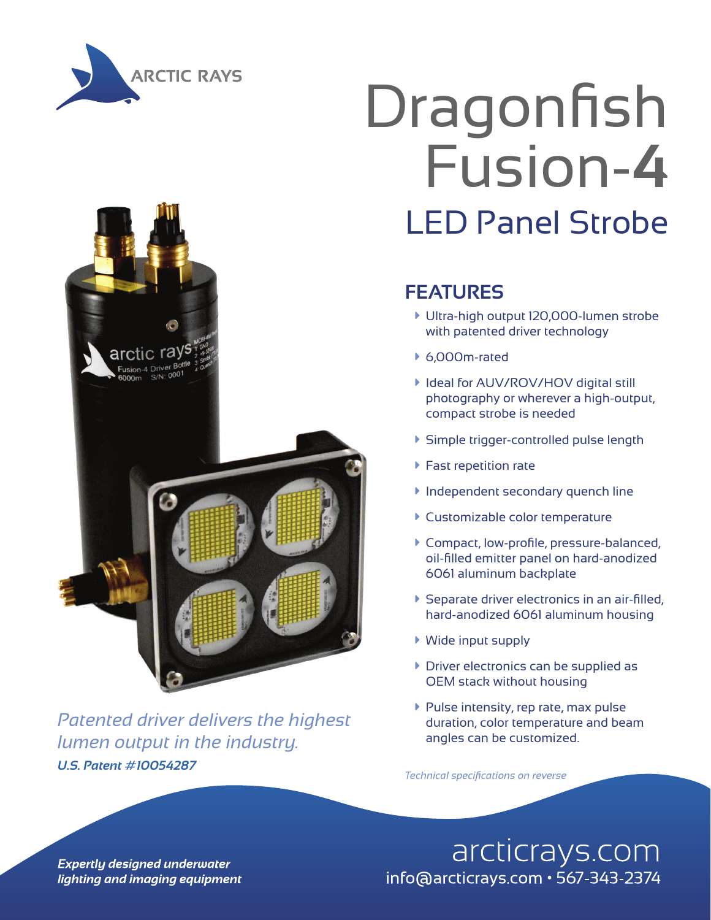



*U.S. Patent #10054287 Patented driver delivers the highest lumen output in the industry.*

# Dragonfish Fusion-**4** LED Panel Strobe

### **FEATURES**

- à Ultra-high output 120,000-lumen strobe with patented driver technology
- $6,000$ m-rated
- **I** Ideal for AUV/ROV/HOV digital still photography or wherever a high-output, compact strobe is needed
- à Simple trigger-controlled pulse length
- $\blacktriangleright$  Fast repetition rate
- **Independent secondary quench line**
- **Customizable color temperature**
- à Compact, low-profile, pressure-balanced, oil-filled emitter panel on hard-anodized 6061 aluminum backplate
- $\blacktriangleright$  Separate driver electronics in an air-filled, hard-anodized 6061 aluminum housing
- $\blacktriangleright$  Wide input supply
- $\triangleright$  Driver electronics can be supplied as OEM stack without housing
- $\blacktriangleright$  Pulse intensity, rep rate, max pulse duration, color temperature and beam angles can be customized.

*Technical specifications on reverse*

**Expertly designed underwater** lighting and imaging equipment

## arcticrays.com info@arcticrays.com · 567-343-2374